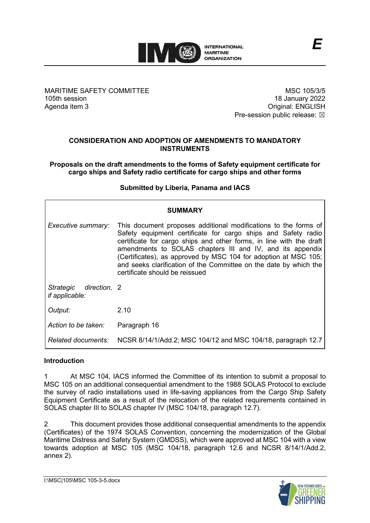

MARITIME SAFETY COMMITTEE 105th session Agenda item 3

MSC 105/3/5 18 January 2022 Original: ENGLISH Pre-session public release:  $\boxtimes$ 

*E*

# **CONSIDERATION AND ADOPTION OF AMENDMENTS TO MANDATORY INSTRUMENTS**

**Proposals on the draft amendments to the forms of Safety equipment certificate for cargo ships and Safety radio certificate for cargo ships and other forms**

# **Submitted by Liberia, Panama and IACS**

| <b>SUMMARY</b>                                  |                                                                                                                                                                                                                                                                                                                                                                                                                                                |  |
|-------------------------------------------------|------------------------------------------------------------------------------------------------------------------------------------------------------------------------------------------------------------------------------------------------------------------------------------------------------------------------------------------------------------------------------------------------------------------------------------------------|--|
| Executive summary:                              | This document proposes additional modifications to the forms of<br>Safety equipment certificate for cargo ships and Safety radio<br>certificate for cargo ships and other forms, in line with the draft<br>amendments to SOLAS chapters III and IV, and its appendix<br>(Certificates), as approved by MSC 104 for adoption at MSC 105;<br>and seeks clarification of the Committee on the date by which the<br>certificate should be reissued |  |
| Strategic direction, 2<br><i>if applicable:</i> |                                                                                                                                                                                                                                                                                                                                                                                                                                                |  |
| Output:                                         | 2.10                                                                                                                                                                                                                                                                                                                                                                                                                                           |  |
| Action to be taken:                             | Paragraph 16                                                                                                                                                                                                                                                                                                                                                                                                                                   |  |
| Related documents:                              | NCSR 8/14/1/Add.2; MSC 104/12 and MSC 104/18, paragraph 12.7                                                                                                                                                                                                                                                                                                                                                                                   |  |

# **Introduction**

1 At MSC 104, IACS informed the Committee of its intention to submit a proposal to MSC 105 on an additional consequential amendment to the 1988 SOLAS Protocol to exclude the survey of radio installations used in life-saving appliances from the Cargo Ship Safety Equipment Certificate as a result of the relocation of the related requirements contained in SOLAS chapter III to SOLAS chapter IV (MSC 104/18, paragraph 12.7).

2 This document provides those additional consequential amendments to the appendix (Certificates) of the 1974 SOLAS Convention, concerning the modernization of the Global Maritime Distress and Safety System (GMDSS), which were approved at MSC 104 with a view towards adoption at MSC 105 (MSC 104/18, paragraph 12.6 and NCSR 8/14/1/Add.2, annex 2).

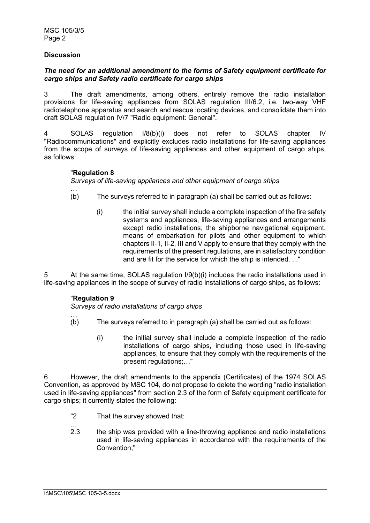# **Discussion**

# *The need for an additional amendment to the forms of Safety equipment certificate for cargo ships and Safety radio certificate for cargo ships*

3 The draft amendments, among others, entirely remove the radio installation provisions for life-saving appliances from SOLAS regulation III/6.2, i.e. two-way VHF radiotelephone apparatus and search and rescue locating devices, and consolidate them into draft SOLAS regulation IV/7 "Radio equipment: General".

4 SOLAS regulation I/8(b)(i) does not refer to SOLAS chapter IV "Radiocommunications" and explicitly excludes radio installations for life-saving appliances from the scope of surveys of life-saving appliances and other equipment of cargo ships, as follows:

# "**Regulation 8**

# *Surveys of life-saving appliances and other equipment of cargo ships*

- … (b) The surveys referred to in paragraph (a) shall be carried out as follows:
	- (i) the initial survey shall include a complete inspection of the fire safety systems and appliances, life-saving appliances and arrangements except radio installations, the shipborne navigational equipment, means of embarkation for pilots and other equipment to which chapters II-1, II-2, III and V apply to ensure that they comply with the requirements of the present regulations, are in satisfactory condition and are fit for the service for which the ship is intended. ..."

5 At the same time, SOLAS regulation I/9(b)(i) includes the radio installations used in life-saving appliances in the scope of survey of radio installations of cargo ships, as follows:

# "**Regulation 9**

…

*Surveys of radio installations of cargo ships*

- (b) The surveys referred to in paragraph (a) shall be carried out as follows:
	- (i) the initial survey shall include a complete inspection of the radio installations of cargo ships, including those used in life-saving appliances, to ensure that they comply with the requirements of the present regulations;…"

6 However, the draft amendments to the appendix (Certificates) of the 1974 SOLAS Convention, as approved by MSC 104, do not propose to delete the wording "radio installation used in life-saving appliances" from section 2.3 of the form of Safety equipment certificate for cargo ships; it currently states the following:

- "2 That the survey showed that:
- ... 2.3 the ship was provided with a line-throwing appliance and radio installations used in life-saving appliances in accordance with the requirements of the Convention;"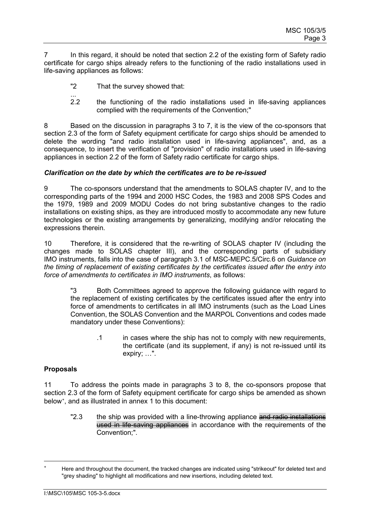7 In this regard, it should be noted that section 2.2 of the existing form of Safety radio certificate for cargo ships already refers to the functioning of the radio installations used in life-saving appliances as follows:

- "2 That the survey showed that:
- ...<br>22 2.2 the functioning of the radio installations used in life-saving appliances complied with the requirements of the Convention;"

8 Based on the discussion in paragraphs 3 to 7, it is the view of the co-sponsors that section 2.3 of the form of Safety equipment certificate for cargo ships should be amended to delete the wording "and radio installation used in life-saving appliances", and, as a consequence, to insert the verification of "provision" of radio installations used in life-saving appliances in section 2.2 of the form of Safety radio certificate for cargo ships.

# *Clarification on the date by which the certificates are to be re-issued*

9 The co-sponsors understand that the amendments to SOLAS chapter IV, and to the corresponding parts of the 1994 and 2000 HSC Codes, the 1983 and 2008 SPS Codes and the 1979, 1989 and 2009 MODU Codes do not bring substantive changes to the radio installations on existing ships, as they are introduced mostly to accommodate any new future technologies or the existing arrangements by generalizing, modifying and/or relocating the expressions therein.

10 Therefore, it is considered that the re-writing of SOLAS chapter IV (including the changes made to SOLAS chapter III), and the corresponding parts of subsidiary IMO instruments, falls into the case of paragraph 3.1 of MSC-MEPC.5/Circ.6 on *Guidance on the timing of replacement of existing certificates by the certificates issued after the entry into force of amendments to certificates in IMO instruments*, as follows:

"3 Both Committees agreed to approve the following guidance with regard to the replacement of existing certificates by the certificates issued after the entry into force of amendments to certificates in all IMO instruments (such as the Load Lines Convention, the SOLAS Convention and the MARPOL Conventions and codes made mandatory under these Conventions):

> .1 in cases where the ship has not to comply with new requirements, the certificate (and its supplement, if any) is not re-issued until its expiry; …".

# **Proposals**

11 To address the points made in paragraphs 3 to 8, the co-sponsors propose that section 2.3 of the form of Safety equipment certificate for cargo ships be amended as shown below[∗](#page-2-0) , and as illustrated in annex 1 to this document:

"2.3 the ship was provided with a line-throwing appliance and radio installations used in life-saving appliances in accordance with the requirements of the Convention;".

<span id="page-2-0"></span>Here and throughout the document, the tracked changes are indicated using "strikeout" for deleted text and "grey shading" to highlight all modifications and new insertions, including deleted text.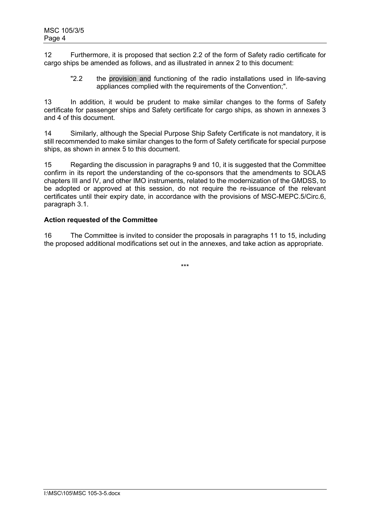12 Furthermore, it is proposed that section 2.2 of the form of Safety radio certificate for cargo ships be amended as follows, and as illustrated in annex 2 to this document:

"2.2 the provision and functioning of the radio installations used in life-saving appliances complied with the requirements of the Convention;".

13 In addition, it would be prudent to make similar changes to the forms of Safety certificate for passenger ships and Safety certificate for cargo ships, as shown in annexes 3 and 4 of this document.

14 Similarly, although the Special Purpose Ship Safety Certificate is not mandatory, it is still recommended to make similar changes to the form of Safety certificate for special purpose ships, as shown in annex 5 to this document.

15 Regarding the discussion in paragraphs 9 and 10, it is suggested that the Committee confirm in its report the understanding of the co-sponsors that the amendments to SOLAS chapters III and IV, and other IMO instruments, related to the modernization of the GMDSS, to be adopted or approved at this session, do not require the re-issuance of the relevant certificates until their expiry date, in accordance with the provisions of MSC-MEPC.5/Circ.6, paragraph 3.1.

# **Action requested of the Committee**

16 The Committee is invited to consider the proposals in paragraphs 11 to 15, including the proposed additional modifications set out in the annexes, and take action as appropriate.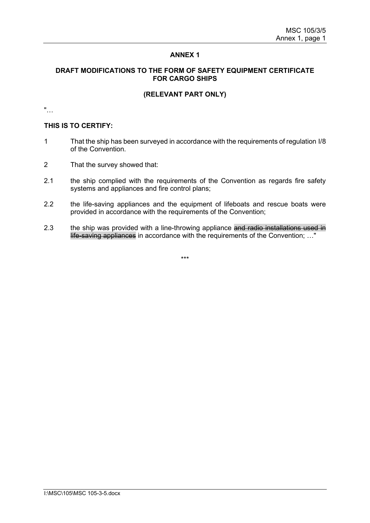### **DRAFT MODIFICATIONS TO THE FORM OF SAFETY EQUIPMENT CERTIFICATE FOR CARGO SHIPS**

# **(RELEVANT PART ONLY)**

"…

#### **THIS IS TO CERTIFY:**

- 1 That the ship has been surveyed in accordance with the requirements of regulation I/8 of the Convention.
- 2 That the survey showed that:
- 2.1 the ship complied with the requirements of the Convention as regards fire safety systems and appliances and fire control plans;
- 2.2 the life-saving appliances and the equipment of lifeboats and rescue boats were provided in accordance with the requirements of the Convention;
- 2.3 the ship was provided with a line-throwing appliance and radio installations used in life-saving appliances in accordance with the requirements of the Convention; …"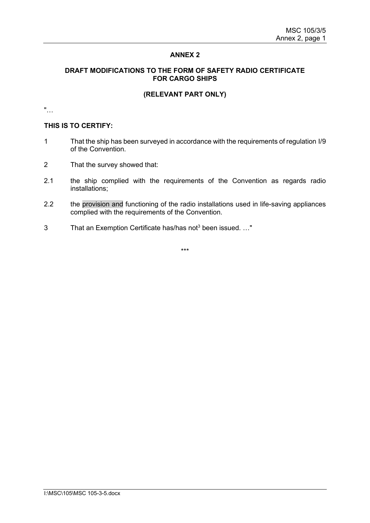### **DRAFT MODIFICATIONS TO THE FORM OF SAFETY RADIO CERTIFICATE FOR CARGO SHIPS**

# **(RELEVANT PART ONLY)**

"…

#### **THIS IS TO CERTIFY:**

- 1 That the ship has been surveyed in accordance with the requirements of regulation I/9 of the Convention.
- 2 That the survey showed that:
- 2.1 the ship complied with the requirements of the Convention as regards radio installations;
- 2.2 the provision and functioning of the radio installations used in life-saving appliances complied with the requirements of the Convention.
- 3 That an Exemption Certificate has/has not<sup>3</sup> been issued. ..."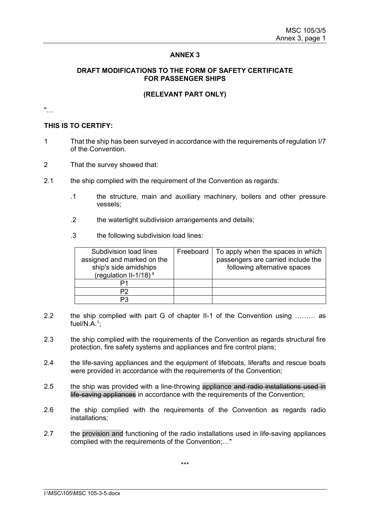### **DRAFT MODIFICATIONS TO THE FORM OF SAFETY CERTIFICATE FOR PASSENGER SHIPS**

### **(RELEVANT PART ONLY)**

"…

#### **THIS IS TO CERTIFY:**

- 1 That the ship has been surveyed in accordance with the requirements of regulation I/7 of the Convention.
- 2 That the survey showed that:
- 2.1 the ship complied with the requirement of the Convention as regards:
	- .1 the structure, main and auxiliary machinery, boilers and other pressure vessels;
	- .2 the watertight subdivision arrangements and details;
	- .3 the following subdivision load lines:

| Subdivision load lines<br>assigned and marked on the<br>ship's side amidships<br>(regulation II-1/18) $4$ | Freeboard | To apply when the spaces in which<br>passengers are carried include the<br>following alternative spaces |
|-----------------------------------------------------------------------------------------------------------|-----------|---------------------------------------------------------------------------------------------------------|
|                                                                                                           |           |                                                                                                         |
| P2                                                                                                        |           |                                                                                                         |
|                                                                                                           |           |                                                                                                         |

- 2.2 the ship complied with part G of chapter II-1 of the Convention using ……… as fuel/N.A.<sup>1</sup>;
- 2.3 the ship complied with the requirements of the Convention as regards structural fire protection, fire safety systems and appliances and fire control plans;
- 2.4 the life-saving appliances and the equipment of lifeboats, liferafts and rescue boats were provided in accordance with the requirements of the Convention;
- 2.5 the ship was provided with a line-throwing appliance and radio installations used in life-saving appliances in accordance with the requirements of the Convention;
- 2.6 the ship complied with the requirements of the Convention as regards radio installations;
- 2.7 the provision and functioning of the radio installations used in life-saving appliances complied with the requirements of the Convention;…"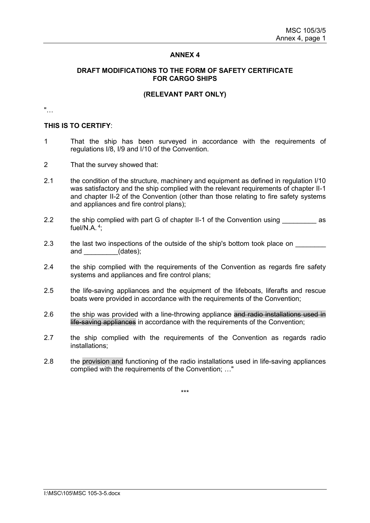#### **DRAFT MODIFICATIONS TO THE FORM OF SAFETY CERTIFICATE FOR CARGO SHIPS**

#### **(RELEVANT PART ONLY)**

"…

#### **THIS IS TO CERTIFY**:

- 1 That the ship has been surveyed in accordance with the requirements of regulations I/8, I/9 and I/10 of the Convention.
- 2 That the survey showed that:
- 2.1 the condition of the structure, machinery and equipment as defined in regulation I/10 was satisfactory and the ship complied with the relevant requirements of chapter II-1 and chapter II-2 of the Convention (other than those relating to fire safety systems and appliances and fire control plans);
- 2.2 the ship complied with part G of chapter II-1 of the Convention using as fuel/N.A.  $4$ ;
- 2.3 the last two inspections of the outside of the ship's bottom took place on and (dates);
- 2.4 the ship complied with the requirements of the Convention as regards fire safety systems and appliances and fire control plans;
- 2.5 the life-saving appliances and the equipment of the lifeboats, liferafts and rescue boats were provided in accordance with the requirements of the Convention;
- 2.6 the ship was provided with a line-throwing appliance and radio installations used in life-saving appliances in accordance with the requirements of the Convention;
- 2.7 the ship complied with the requirements of the Convention as regards radio installations;
- 2.8 the provision and functioning of the radio installations used in life-saving appliances complied with the requirements of the Convention; …"